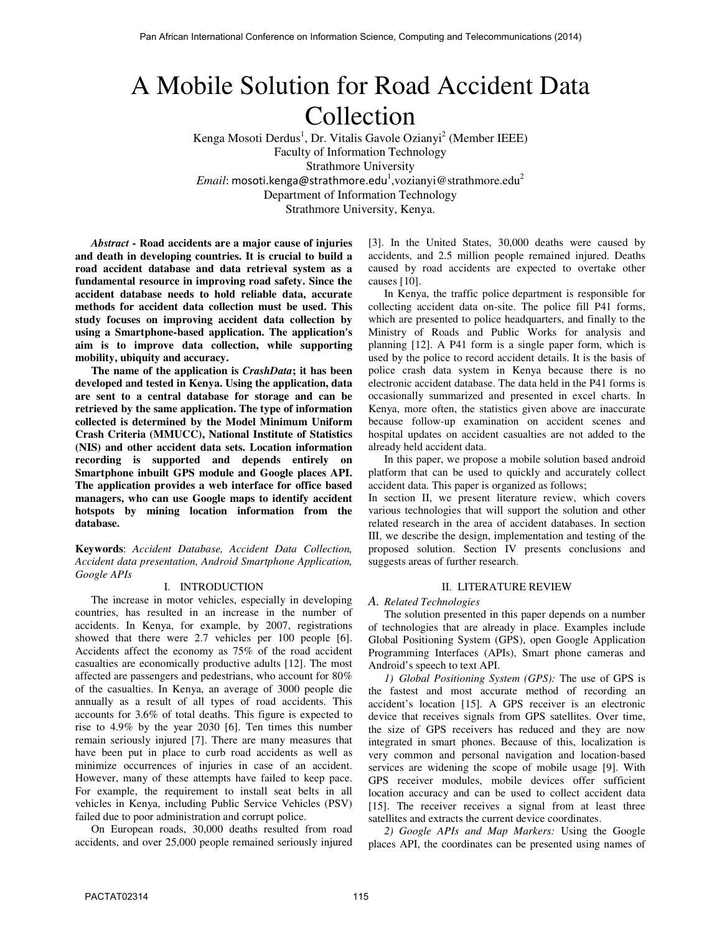# A Mobile Solution for Road Accident Data Collection

Kenga Mosoti Derdus<sup>1</sup>, Dr. Vitalis Gavole Ozianyi<sup>2</sup> (Member IEEE) Faculty of Information Technology Strathmore University  $\emph{Email:}$  mosoti.kenga@strathmore.edu<sup>1</sup>,vozianyi@strathmore.edu<sup>2</sup> Department of Information Technology Strathmore University, Kenya.

*Abstract* **- Road accidents are a major cause of injuries and death in developing countries. It is crucial to build a road accident database and data retrieval system as a fundamental resource in improving road safety. Since the accident database needs to hold reliable data, accurate methods for accident data collection must be used. This study focuses on improving accident data collection by using a Smartphone-based application. The application's aim is to improve data collection, while supporting mobility, ubiquity and accuracy.** 

**The name of the application is** *CrashData***; it has been developed and tested in Kenya. Using the application, data are sent to a central database for storage and can be retrieved by the same application. The type of information collected is determined by the Model Minimum Uniform Crash Criteria (MMUCC), National Institute of Statistics (NIS) and other accident data sets. Location information recording is supported and depends entirely on Smartphone inbuilt GPS module and Google places API. The application provides a web interface for office based managers, who can use Google maps to identify accident hotspots by mining location information from the database.** 

**Keywords**: *Accident Database, Accident Data Collection, Accident data presentation, Android Smartphone Application, Google APIs* 

## I. INTRODUCTION

The increase in motor vehicles, especially in developing countries, has resulted in an increase in the number of accidents. In Kenya, for example, by 2007, registrations showed that there were 2.7 vehicles per 100 people [6]. Accidents affect the economy as 75% of the road accident casualties are economically productive adults [12]. The most affected are passengers and pedestrians, who account for 80% of the casualties. In Kenya, an average of 3000 people die annually as a result of all types of road accidents. This accounts for 3.6% of total deaths. This figure is expected to rise to 4.9% by the year 2030 [6]. Ten times this number remain seriously injured [7]. There are many measures that have been put in place to curb road accidents as well as minimize occurrences of injuries in case of an accident. However, many of these attempts have failed to keep pace. For example, the requirement to install seat belts in all vehicles in Kenya, including Public Service Vehicles (PSV) failed due to poor administration and corrupt police.

On European roads, 30,000 deaths resulted from road accidents, and over 25,000 people remained seriously injured [3]. In the United States, 30,000 deaths were caused by accidents, and 2.5 million people remained injured. Deaths caused by road accidents are expected to overtake other causes [10].

In Kenya, the traffic police department is responsible for collecting accident data on-site. The police fill P41 forms, which are presented to police headquarters, and finally to the Ministry of Roads and Public Works for analysis and planning [12]. A P41 form is a single paper form, which is used by the police to record accident details. It is the basis of police crash data system in Kenya because there is no electronic accident database. The data held in the P41 forms is occasionally summarized and presented in excel charts. In Kenya, more often, the statistics given above are inaccurate because follow-up examination on accident scenes and hospital updates on accident casualties are not added to the already held accident data.

In this paper, we propose a mobile solution based android platform that can be used to quickly and accurately collect accident data. This paper is organized as follows;

In section II, we present literature review, which covers various technologies that will support the solution and other related research in the area of accident databases. In section III, we describe the design, implementation and testing of the proposed solution. Section IV presents conclusions and suggests areas of further research.

# II. LITERATURE REVIEW

*A. Related Technologies* 

The solution presented in this paper depends on a number of technologies that are already in place. Examples include Global Positioning System (GPS), open Google Application Programming Interfaces (APIs), Smart phone cameras and Android's speech to text API.

*1) Global Positioning System (GPS):* The use of GPS is the fastest and most accurate method of recording an accident's location [15]. A GPS receiver is an electronic device that receives signals from GPS satellites. Over time, the size of GPS receivers has reduced and they are now integrated in smart phones. Because of this, localization is very common and personal navigation and location-based services are widening the scope of mobile usage [9]. With GPS receiver modules, mobile devices offer sufficient location accuracy and can be used to collect accident data [15]. The receiver receives a signal from at least three satellites and extracts the current device coordinates.

*2) Google APIs and Map Markers:* Using the Google places API, the coordinates can be presented using names of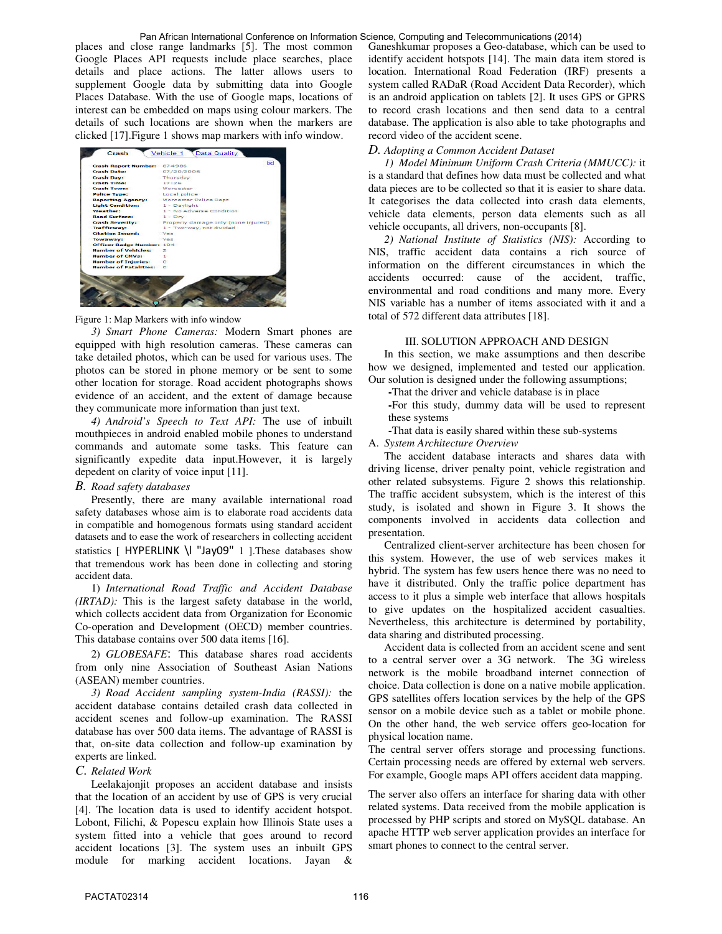#### Pan African International Conference on Information Science, Computing and Telecommunications (2014)

places and close range landmarks [5]. The most common Google Places API requests include place searches, place details and place actions. The latter allows users to supplement Google data by submitting data into Google Places Database. With the use of Google maps, locations of interest can be embedded on maps using colour markers. The details of such locations are shown when the markers are clicked [17].Figure 1 shows map markers with info window.



Figure 1: Map Markers with info window

*3) Smart Phone Cameras:* Modern Smart phones are equipped with high resolution cameras. These cameras can take detailed photos, which can be used for various uses. The photos can be stored in phone memory or be sent to some other location for storage. Road accident photographs shows evidence of an accident, and the extent of damage because they communicate more information than just text.

*4) Android's Speech to Text API:* The use of inbuilt mouthpieces in android enabled mobile phones to understand commands and automate some tasks. This feature can significantly expedite data input.However, it is largely depedent on clarity of voice input [11].

## *B. Road safety databases*

Presently, there are many available international road safety databases whose aim is to elaborate road accidents data in compatible and homogenous formats using standard accident datasets and to ease the work of researchers in collecting accident statistics [ HYPERLINK \l "Jay09" 1 ].These databases show that tremendous work has been done in collecting and storing accident data.

1) *International Road Traffic and Accident Database (IRTAD):* This is the largest safety database in the world, which collects accident data from Organization for Economic Co-operation and Development (OECD) member countries. This database contains over 500 data items [16].

2) *GLOBESAFE*: This database shares road accidents from only nine Association of Southeast Asian Nations (ASEAN) member countries.

*3) Road Accident sampling system-India (RASSI):* the accident database contains detailed crash data collected in accident scenes and follow-up examination. The RASSI database has over 500 data items. The advantage of RASSI is that, on-site data collection and follow-up examination by experts are linked.

## *C. Related Work*

Leelakajonjit proposes an accident database and insists that the location of an accident by use of GPS is very crucial [4]. The location data is used to identify accident hotspot. Lobont, Filichi, & Popescu explain how Illinois State uses a system fitted into a vehicle that goes around to record accident locations [3]. The system uses an inbuilt GPS module for marking accident locations. Jayan &

Ganeshkumar proposes a Geo-database, which can be used to identify accident hotspots [14]. The main data item stored is location. International Road Federation (IRF) presents a system called RADaR (Road Accident Data Recorder), which is an android application on tablets [2]. It uses GPS or GPRS to record crash locations and then send data to a central database. The application is also able to take photographs and record video of the accident scene.

## *D. Adopting a Common Accident Dataset*

*1) Model Minimum Uniform Crash Criteria (MMUCC):* it is a standard that defines how data must be collected and what data pieces are to be collected so that it is easier to share data. It categorises the data collected into crash data elements, vehicle data elements, person data elements such as all vehicle occupants, all drivers, non-occupants [8].

*2) National Institute of Statistics (NIS):* According to NIS, traffic accident data contains a rich source of information on the different circumstances in which the accidents occurred: cause of the accident, traffic, environmental and road conditions and many more. Every NIS variable has a number of items associated with it and a total of 572 different data attributes [18].

#### III. SOLUTION APPROACH AND DESIGN

In this section, we make assumptions and then describe how we designed, implemented and tested our application. Our solution is designed under the following assumptions;

**-**That the driver and vehicle database is in place

**-**For this study, dummy data will be used to represent these systems

**-**That data is easily shared within these sub-systems A. *System Architecture Overview* 

The accident database interacts and shares data with driving license, driver penalty point, vehicle registration and other related subsystems. Figure 2 shows this relationship. The traffic accident subsystem, which is the interest of this study, is isolated and shown in Figure 3. It shows the components involved in accidents data collection and presentation.

Centralized client-server architecture has been chosen for this system. However, the use of web services makes it hybrid. The system has few users hence there was no need to have it distributed. Only the traffic police department has access to it plus a simple web interface that allows hospitals to give updates on the hospitalized accident casualties. Nevertheless, this architecture is determined by portability, data sharing and distributed processing.

Accident data is collected from an accident scene and sent to a central server over a 3G network. The 3G wireless network is the mobile broadband internet connection of choice. Data collection is done on a native mobile application. GPS satellites offers location services by the help of the GPS sensor on a mobile device such as a tablet or mobile phone. On the other hand, the web service offers geo-location for physical location name.

The central server offers storage and processing functions. Certain processing needs are offered by external web servers. For example, Google maps API offers accident data mapping.

The server also offers an interface for sharing data with other related systems. Data received from the mobile application is processed by PHP scripts and stored on MySQL database. An apache HTTP web server application provides an interface for smart phones to connect to the central server.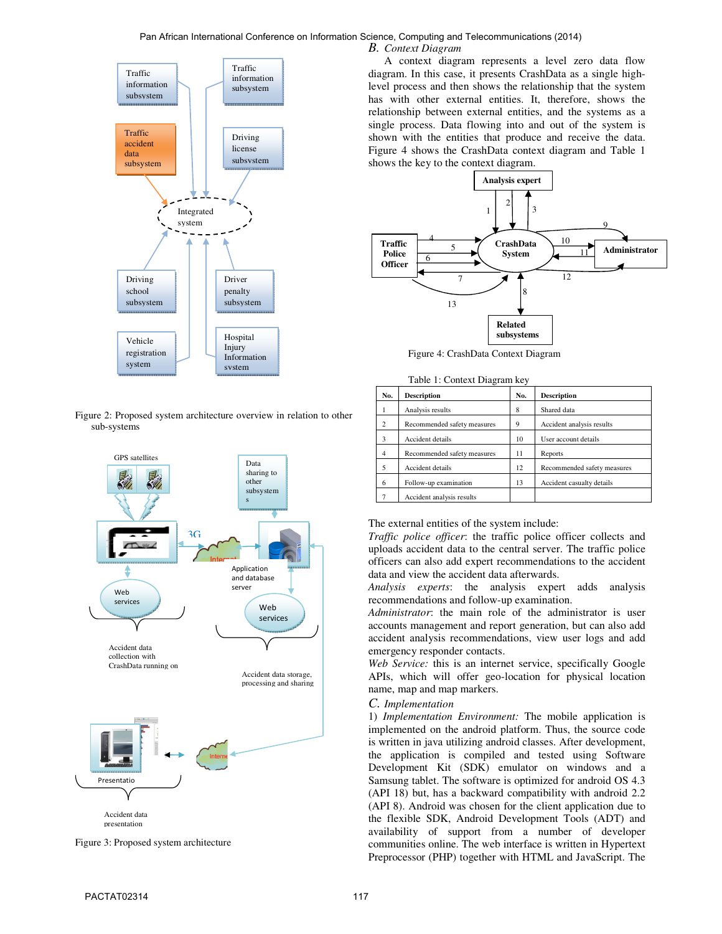## *B. Context Diagram*  Pan African International Conference on Information Science, Computing and Telecommunications (2014)



Figure 2: Proposed system architecture overview in relation to other sub-systems



Figure 3: Proposed system architecture

A context diagram represents a level zero data flow diagram. In this case, it presents CrashData as a single highlevel process and then shows the relationship that the system has with other external entities. It, therefore, shows the relationship between external entities, and the systems as a single process. Data flowing into and out of the system is shown with the entities that produce and receive the data. Figure 4 shows the CrashData context diagram and Table 1 shows the key to the context diagram.



Figure 4: CrashData Context Diagram

|                | Table 1. Context Diagram Rey |     |                             |
|----------------|------------------------------|-----|-----------------------------|
| No.            | <b>Description</b>           | No. | <b>Description</b>          |
| 1              | Analysis results             | 8   | Shared data                 |
| 2              | Recommended safety measures  | 9   | Accident analysis results   |
| $\mathbf{a}$   | Accident details             | 10  | User account details        |
| $\overline{4}$ | Recommended safety measures  | 11  | Reports                     |
| 5              | Accident details             | 12  | Recommended safety measures |
| 6              | Follow-up examination        | 13  | Accident casualty details   |
|                | Accident analysis results    |     |                             |
|                |                              |     |                             |

Table 1: Context Diagram key

## The external entities of the system include:

*Traffic police officer*: the traffic police officer collects and uploads accident data to the central server. The traffic police officers can also add expert recommendations to the accident data and view the accident data afterwards.

*Analysis experts*: the analysis expert adds analysis recommendations and follow-up examination.

*Administrator*: the main role of the administrator is user accounts management and report generation, but can also add accident analysis recommendations, view user logs and add emergency responder contacts.

*Web Service:* this is an internet service, specifically Google APIs, which will offer geo-location for physical location name, map and map markers.

## *C. Implementation*

1) *Implementation Environment:* The mobile application is implemented on the android platform. Thus, the source code is written in java utilizing android classes. After development, the application is compiled and tested using Software Development Kit (SDK) emulator on windows and a Samsung tablet. The software is optimized for android OS 4.3 (API 18) but, has a backward compatibility with android 2.2 (API 8). Android was chosen for the client application due to the flexible SDK, Android Development Tools (ADT) and availability of support from a number of developer communities online. The web interface is written in Hypertext Preprocessor (PHP) together with HTML and JavaScript. The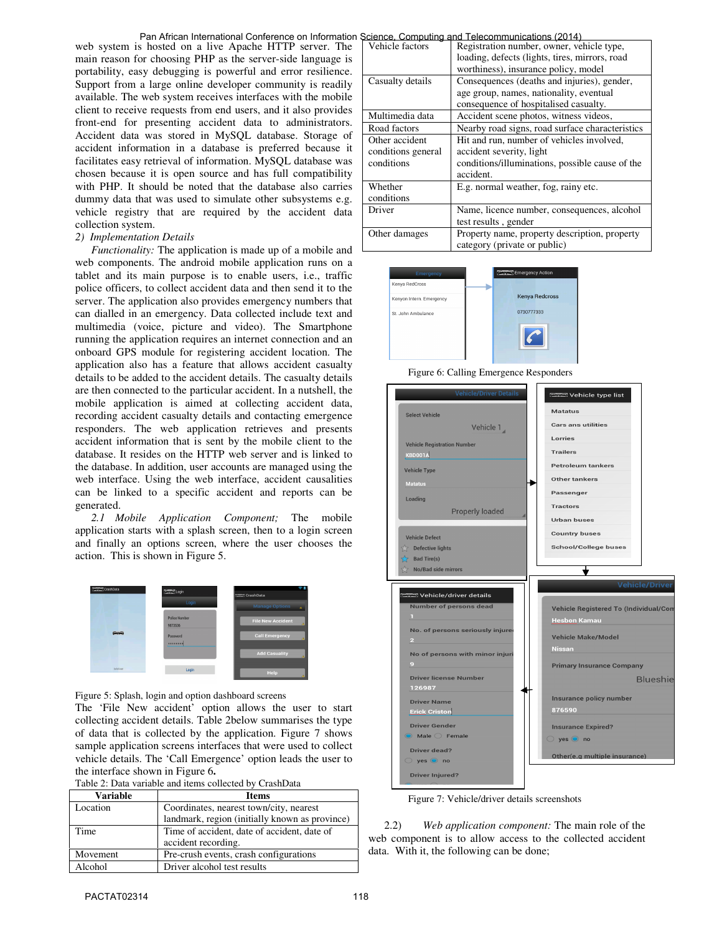web system is hosted on a live Apache HTTP server. The main reason for choosing PHP as the server-side language is portability, easy debugging is powerful and error resilience. Support from a large online developer community is readily available. The web system receives interfaces with the mobile client to receive requests from end users, and it also provides front-end for presenting accident data to administrators. Accident data was stored in MySQL database. Storage of accident information in a database is preferred because it facilitates easy retrieval of information. MySQL database was chosen because it is open source and has full compatibility with PHP. It should be noted that the database also carries dummy data that was used to simulate other subsystems e.g. vehicle registry that are required by the accident data collection system. Pan African International Conference on Information Science, Computing and Telecommunications (2014)

## *2) Implementation Details*

*Functionality:* The application is made up of a mobile and web components. The android mobile application runs on a tablet and its main purpose is to enable users, i.e., traffic police officers, to collect accident data and then send it to the server. The application also provides emergency numbers that can dialled in an emergency. Data collected include text and multimedia (voice, picture and video). The Smartphone running the application requires an internet connection and an onboard GPS module for registering accident location. The application also has a feature that allows accident casualty details to be added to the accident details. The casualty details are then connected to the particular accident. In a nutshell, the mobile application is aimed at collecting accident data, recording accident casualty details and contacting emergence responders. The web application retrieves and presents accident information that is sent by the mobile client to the database. It resides on the HTTP web server and is linked to the database. In addition, user accounts are managed using the web interface. Using the web interface, accident causalities can be linked to a specific accident and reports can be generated.

*2.1 Mobile Application Component;* The mobile application starts with a splash screen, then to a login screen and finally an options screen, where the user chooses the action. This is shown in Figure 5.



Figure 5: Splash, login and option dashboard screens

The 'File New accident' option allows the user to start collecting accident details. Table 2below summarises the type of data that is collected by the application. Figure 7 shows sample application screens interfaces that were used to collect vehicle details. The 'Call Emergence' option leads the user to the interface shown in Figure 6**.** 

| Table 2: Data variable and items collected by CrashData |  |  |
|---------------------------------------------------------|--|--|
|---------------------------------------------------------|--|--|

| Variable | <b>Items</b>                                   |
|----------|------------------------------------------------|
| Location | Coordinates, nearest town/city, nearest        |
|          | landmark, region (initially known as province) |
| Time     | Time of accident, date of accident, date of    |
|          | accident recording.                            |
| Movement | Pre-crush events, crash configurations         |
| Alcohol  | Driver alcohol test results                    |

| Vehicle factors    | <u>suence, Componing and Telecommunications (2014)</u><br>Registration number, owner, vehicle type, |
|--------------------|-----------------------------------------------------------------------------------------------------|
|                    | loading, defects (lights, tires, mirrors, road                                                      |
|                    | worthiness), insurance policy, model                                                                |
| Casualty details   | Consequences (deaths and injuries), gender,                                                         |
|                    |                                                                                                     |
|                    | age group, names, nationality, eventual                                                             |
|                    | consequence of hospitalised casualty.                                                               |
| Multimedia data    | Accident scene photos, witness videos,                                                              |
| Road factors       | Nearby road signs, road surface characteristics                                                     |
| Other accident     | Hit and run, number of vehicles involved.                                                           |
| conditions general | accident severity, light                                                                            |
| conditions         | conditions/illuminations, possible cause of the                                                     |
|                    | accident.                                                                                           |
| Whether            | E.g. normal weather, fog, rainy etc.                                                                |
| conditions         |                                                                                                     |
| Driver             | Name, licence number, consequences, alcohol                                                         |
|                    | test results, gender                                                                                |
| Other damages      | Property name, property description, property                                                       |
|                    | category (private or public)                                                                        |



Figure 6: Calling Emergence Responders



Figure 7: Vehicle/driver details screenshots

2.2) *Web application component:* The main role of the web component is to allow access to the collected accident data. With it, the following can be done;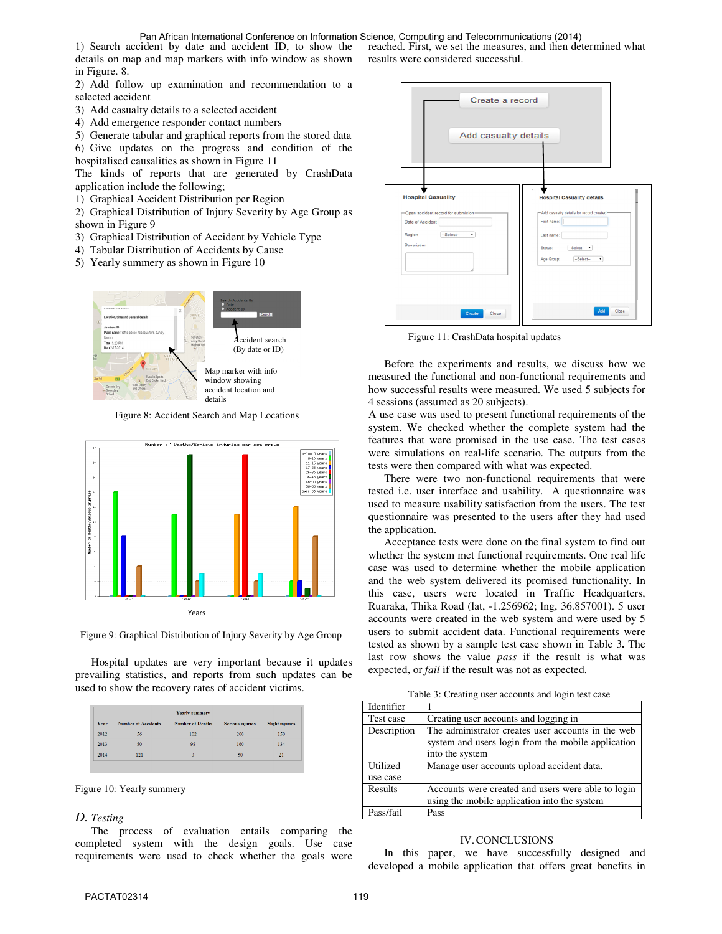1) Search accident by date and accident ID, to show the details on map and map markers with info window as shown in Figure. 8. Pan African International Conference on Information Science, Computing and Telecommunications (2014)

2) Add follow up examination and recommendation to a selected accident

- 3) Add casualty details to a selected accident
- 4) Add emergence responder contact numbers

5) Generate tabular and graphical reports from the stored data

6) Give updates on the progress and condition of the hospitalised causalities as shown in Figure 11

The kinds of reports that are generated by CrashData application include the following;

1) Graphical Accident Distribution per Region

2) Graphical Distribution of Injury Severity by Age Group as shown in Figure 9

- 3) Graphical Distribution of Accident by Vehicle Type
- 4) Tabular Distribution of Accidents by Cause
- 5) Yearly summery as shown in Figure 10



Figure 8: Accident Search and Map Locations



Figure 9: Graphical Distribution of Injury Severity by Age Group

Hospital updates are very important because it updates prevailing statistics, and reports from such updates can be used to show the recovery rates of accident victims.

|      |                            | <b>Yearly summery</b>   |                         |                        |
|------|----------------------------|-------------------------|-------------------------|------------------------|
| Year | <b>Number of Accidents</b> | <b>Number of Deaths</b> | <b>Serious injuries</b> | <b>Slight injuries</b> |
| 2012 | 56                         | 102                     | 200                     | 150                    |
| 2013 | 50                         | 98                      | 160                     | 134                    |
| 2014 | 121                        | 3                       | 50                      | 21                     |

Figure 10: Yearly summery

## *D. Testing*

The process of evaluation entails comparing the completed system with the design goals. Use case requirements were used to check whether the goals were reached. First, we set the measures, and then determined what results were considered successful.



Figure 11: CrashData hospital updates

Before the experiments and results, we discuss how we measured the functional and non-functional requirements and how successful results were measured. We used 5 subjects for 4 sessions (assumed as 20 subjects).

A use case was used to present functional requirements of the system. We checked whether the complete system had the features that were promised in the use case. The test cases were simulations on real-life scenario. The outputs from the tests were then compared with what was expected.

There were two non-functional requirements that were tested i.e. user interface and usability. A questionnaire was used to measure usability satisfaction from the users. The test questionnaire was presented to the users after they had used the application.

Acceptance tests were done on the final system to find out whether the system met functional requirements. One real life case was used to determine whether the mobile application and the web system delivered its promised functionality. In this case, users were located in Traffic Headquarters, Ruaraka, Thika Road (lat, -1.256962; lng, 36.857001). 5 user accounts were created in the web system and were used by 5 users to submit accident data. Functional requirements were tested as shown by a sample test case shown in Table 3**.** The last row shows the value *pass* if the result is what was expected, or *fail* if the result was not as expected.

Table 3: Creating user accounts and login test case

| Identifier  |                                                                                                                             |
|-------------|-----------------------------------------------------------------------------------------------------------------------------|
| Test case   | Creating user accounts and logging in                                                                                       |
| Description | The administrator creates user accounts in the web<br>system and users login from the mobile application<br>into the system |
|             |                                                                                                                             |
| Utilized    | Manage user accounts upload accident data.                                                                                  |
| use case    |                                                                                                                             |
| Results     | Accounts were created and users were able to login                                                                          |
|             | using the mobile application into the system                                                                                |

## IV.CONCLUSIONS

In this paper, we have successfully designed and developed a mobile application that offers great benefits in